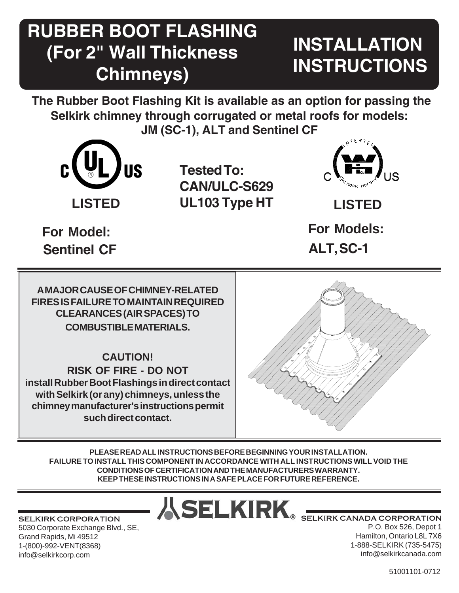## **RUBBER BOOT FLASHING (For 2" Wall Thickness Chimneys)**

# **INSTALLATION INSTRUCTIONS**

**The Rubber Boot Flashing Kit is available as an option for passing the Selkirk chimney through corrugated or metal roofs for models: JM (SC-1), ALT and Sentinel CF**



**LISTED LISTED UL103 Type HT Tested To: CAN/ULC-S629**



**Sentinel CF ALT, SC-1**

**For Model: For Models:**

**A MAJOR CAUSE OF CHIMNEY-RELATED FIRES IS FAILURE TO MAINTAIN REQUIRED CLEARANCES (AIR SPACES) TO COMBUSTIBLE MATERIALS.**

**CAUTION! RISK OF FIRE - DO NOT install Rubber Boot Flashings in direct contact with Selkirk (or any) chimneys, unless the chimney manufacturer's instructions permit such direct contact.**



**PLEASE READ ALL INSTRUCTIONS BEFORE BEGINNING YOUR INSTALLATION. FAILURE TO INSTALL THIS COMPONENT IN ACCORDANCE WITH ALL INSTRUCTIONS WILL VOID THE CONDITIONS OF CERTIFICATION AND THE MANUFACTURERS WARRANTY. KEEP THESE INSTRUCTIONS IN A SAFE PLACE FOR FUTURE REFERENCE.**

SELKIRK CORPORATION 5030 Corporate Exchange Blvd., SE, Grand Rapids, Mi 49512 1-(800)-992-VENT(8368) info@selkirkcorp.com

ASELKIRK SELKIRK CANADA CORPORATION

P.O. Box 526, Depot 1 Hamilton, Ontario L8L 7X6 1-888-SELKIRK (735-5475) info@selkirkcanada.com

<sup>1</sup> 51001101-0712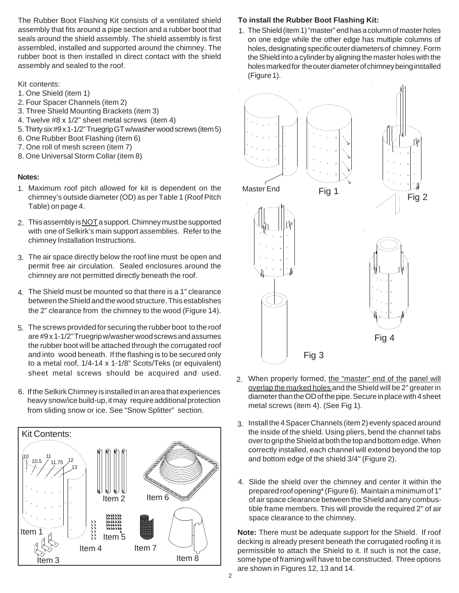The Rubber Boot Flashing Kit consists of a ventilated shield assembly that fits around a pipe section and a rubber boot that seals around the shield assembly. The shield assembly is first assembled, installed and supported around the chimney. The rubber boot is then installed in direct contact with the shield assembly and sealed to the roof.

#### Kit contents:

- 1. One Shield (item 1)
- 2. Four Spacer Channels (item 2)
- 3. Three Shield Mounting Brackets (item 3)
- 4. Twelve #8 x 1/2" sheet metal screws (item 4)
- 5. Thirty six #9 x 1-1/2" Truegrip GT w/washer wood screws (item 5)
- 6. One Rubber Boot Flashing (item 6)
- 7. One roll of mesh screen (item 7)
- 8. One Universal Storm Collar (item 8)

#### **Notes:**

- Maximum roof pitch allowed for kit is dependent on the 1. chimney's outside diameter (OD) as per Table 1 (Roof Pitch Table) on page 4.
- 2. This assembly is <u>NOT</u> a support. Chimney must be supported with one of Selkirk's main support assemblies. Refer to the chimney Installation Instructions.
- The air space directly below the roof line must be open and 3. permit free air circulation. Sealed enclosures around the chimney are not permitted directly beneath the roof.
- The Shield must be mounted so that there is a 1" clearance 4. between the Shield and the wood structure. This establishes the 2" clearance from the chimney to the wood (Figure 14).
- The screws provided for securing the rubber boot to the roof 5. are #9 x 1-1/2" Truegrip w/washer wood screws and assumes the rubber boot will be attached through the corrugated roof and into wood beneath. If the flashing is to be secured only to a metal roof, 1/4-14 x 1-1/8" Scots/Teks (or equivalent) sheet metal screws should be acquired and used.
- 6. If the Selkirk Chimney is installed in an area that experiences heavy snow/ice build-up, it may require additional protection from sliding snow or ice. See "Snow Splitter" section.



### **To install the Rubber Boot Flashing Kit:**

1. The Shield (item 1) "master" end has a column of master holes on one edge while the other edge has multiple columns of holes, designating specific outer diameters of chimney. Form the Shield into a cylinder by aligning the master holes with the holes marked for the outer diameter of chimney being installed (Figure 1).



- 2. When properly formed, the "master" end of the panel will overlap the marked holes and the Shield will be 2" greater in diameter than the OD of the pipe. Secure in place with 4 sheet metal screws (item 4). (See Fig 1).
- 3. Install the 4 Spacer Channels (item 2) evenly spaced around the inside of the shield. Using pliers, bend the channel tabs over to grip the Shield at both the top and bottom edge. When correctly installed, each channel will extend beyond the top and bottom edge of the shield 3/4" (Figure 2).
- 4. Slide the shield over the chimney and center it within the prepared roof opening\* (Figure 6). Maintain a minimum of 1" of air space clearance between the Shield and any combustible frame members. This will provide the required 2" of air space clearance to the chimney.

**Note:** There must be adequate support for the Shield. If roof decking is already present beneath the corrugated roofing it is permissible to attach the Shield to it. If such is not the case, some type of framing will have to be constructed. Three options are shown in Figures 12, 13 and 14.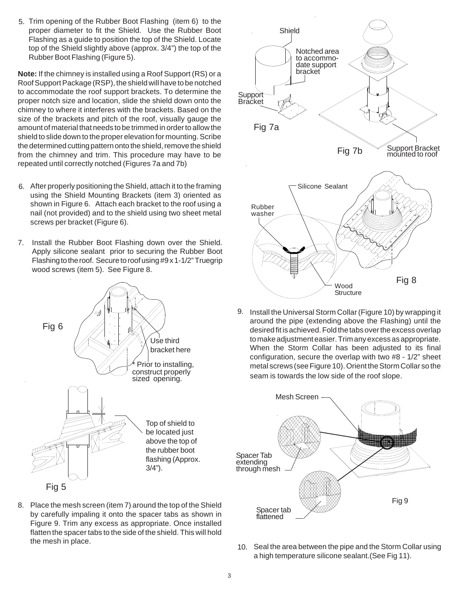5. Trim opening of the Rubber Boot Flashing (item 6) to the proper diameter to fit the Shield. Use the Rubber Boot Flashing as a guide to position the top of the Shield. Locate top of the Shield slightly above (approx. 3/4") the top of the Rubber Boot Flashing (Figure 5).

**Note:** If the chimney is installed using a Roof Support (RS) or a Roof Support Package (RSP), the shield will have to be notched to accommodate the roof support brackets. To determine the proper notch size and location, slide the shield down onto the chimney to where it interferes with the brackets. Based on the size of the brackets and pitch of the roof, visually gauge the amount of material that needs to be trimmed in order to allow the shield to slide down to the proper elevation for mounting. Scribe the determined cutting pattern onto the shield, remove the shield from the chimney and trim. This procedure may have to be repeated until correctly notched (Figures 7a and 7b)

- 6. After properly positioning the Shield, attach it to the framing using the Shield Mounting Brackets (item 3) oriented as shown in Figure 6. Attach each bracket to the roof using a nail (not provided) and to the shield using two sheet metal screws per bracket (Figure 6).
- 7. Install the Rubber Boot Flashing down over the Shield. Apply silicone sealant prior to securing the Rubber Boot Flashing to the roof. Secure to roof using #9 x 1-1/2" Truegrip wood screws (item 5). See Figure 8.



8. Place the mesh screen (item 7) around the top of the Shield by carefully impaling it onto the spacer tabs as shown in Figure 9. Trim any excess as appropriate. Once installed flatten the spacer tabs to the side of the shield. This will hold the mesh in place.



9. Install the Universal Storm Collar (Figure 10) by wrapping it around the pipe (extending above the Flashing) until the desired fit is achieved. Fold the tabs over the excess overlap to make adjustment easier. Trim any excess as appropriate. When the Storm Collar has been adjusted to its final configuration, secure the overlap with two #8 - 1/2" sheet metal screws (see Figure 10). Orient the Storm Collar so the seam is towards the low side of the roof slope.



10. Seal the area between the pipe and the Storm Collar using a high temperature silicone sealant.(See Fig 11).